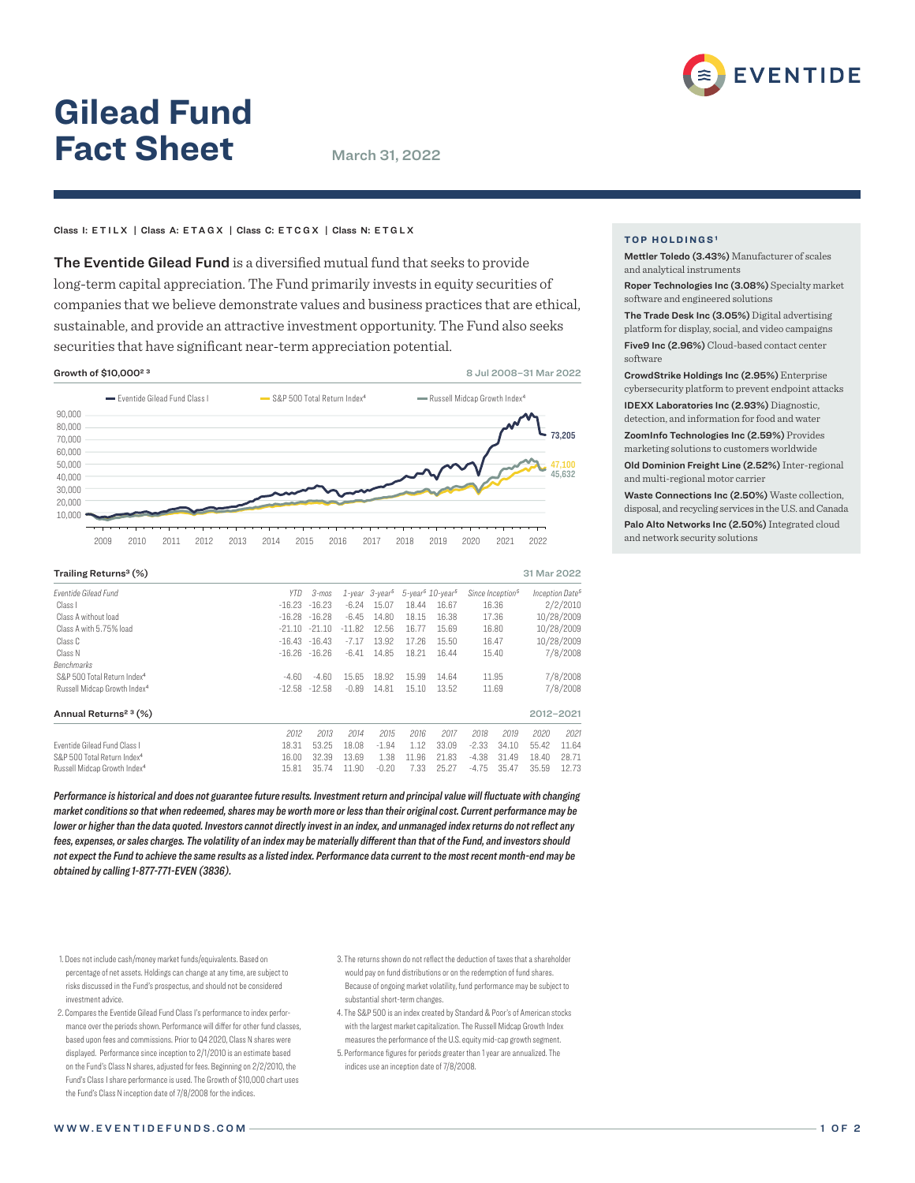

# **Gilead Fund Fact Sheet** March 31, 2022

## Class I: ETILX | Class A: ETAGX | Class C: ETCGX | Class N: ETGLX

The Eventide Gilead Fund is a diversified mutual fund that seeks to provide long-term capital appreciation. The Fund primarily invests in equity securities of companies that we believe demonstrate values and business practices that are ethical, sustainable, and provide an attractive investment opportunity. The Fund also seeks securities that have significant near-term appreciation potential.



| Trailing Returns <sup>3</sup> (%)        |            |          |          |                                  |                                                |       |         |                              | 31 Mar 2022 |                             |
|------------------------------------------|------------|----------|----------|----------------------------------|------------------------------------------------|-------|---------|------------------------------|-------------|-----------------------------|
| <b>Fventide Gilead Fund</b>              | <b>YTD</b> | 3-mos    |          | $1$ -year $3$ -year <sup>5</sup> | $5$ -year <sup>5</sup> $10$ -year <sup>5</sup> |       |         | Since Inception <sup>5</sup> |             | Inception Date <sup>5</sup> |
| Class I                                  | $-16.23$   | $-16.23$ | $-6.24$  | 15.07                            | 18.44                                          | 16.67 |         | 16.36                        |             | 2/2/2010                    |
| Class A without load                     | $-16.28$   | $-16.28$ | $-6.45$  | 14.80                            | 18.15                                          | 16.38 |         | 17.36                        |             | 10/28/2009                  |
| Class A with 5.75% load                  | $-21.10$   | $-21.10$ | $-11.82$ | 12.56                            | 16.77                                          | 15.69 |         | 16.80                        |             | 10/28/2009                  |
| Class C                                  | $-16.43$   | $-16.43$ | $-7.17$  | 13.92                            | 17.26                                          | 15.50 |         | 16.47                        | 10/28/2009  |                             |
| Class N                                  | $-16.26$   | $-16.26$ | $-6.41$  | 14.85                            | 18.21                                          | 16.44 |         | 15.40                        |             | 7/8/2008                    |
| <b>Benchmarks</b>                        |            |          |          |                                  |                                                |       |         |                              |             |                             |
| S&P 500 Total Return Index <sup>4</sup>  | -4.60      | $-4.60$  | 15.65    | 18.92                            | 15.99                                          | 14.64 |         | 11.95                        | 7/8/2008    |                             |
| Russell Midcap Growth Index <sup>4</sup> | $-12.58$   | $-12.58$ | $-0.89$  | 14.81                            | 15.10                                          | 13.52 | 11.69   |                              | 7/8/2008    |                             |
| Annual Returns <sup>2 3</sup> (%)        |            |          |          |                                  |                                                |       |         |                              | 2012-2021   |                             |
|                                          | 2012       | 2013     | 2014     | 2015                             | 2016                                           | 2017  | 2018    | 2019                         | 2020        | 2021                        |
| <b>Eventide Gilead Fund Class I</b>      | 18.31      | 53.25    | 18.08    | $-1.94$                          | 1.12                                           | 33.09 | $-2.33$ | 34.10                        | 55.42       | 11.64                       |
| S&P 500 Total Return Index <sup>4</sup>  | 16.00      | 32.39    | 13.69    | 1.38                             | 11.96                                          | 21.83 | $-4.38$ | 31.49                        | 18.40       | 28.71                       |
| Russell Midcap Growth Index <sup>4</sup> | 15.81      | 35.74    | 11.90    | $-0.20$                          | 7.33                                           | 25.27 | $-4.75$ | 35.47                        | 35.59       | 12.73                       |

*Performance is historical and does not guarantee future results. Investment return and principal value will fluctuate with changing market conditions so that when redeemed, shares may be worth more or less than their original cost. Current performance may be lower or higher than the data quoted. Investors cannot directly invest in an index, and unmanaged index returns do not reflect any fees, expenses, or sales charges. The volatility of an index may be materially different than that of the Fund, and investors should not expect the Fund to achieve the same results as a listed index. Performance data current to the most recent month-end may be obtained by calling 1-877-771-EVEN (3836).*

- 1. Does not include cash/money market funds/equivalents. Based on percentage of net assets. Holdings can change at any time, are subject to risks discussed in the Fund's prospectus, and should not be considered investment advice.
- 2. Compares the Eventide Gilead Fund Class I's performance to index performance over the periods shown. Performance will differ for other fund classes, based upon fees and commissions. Prior to Q4 2020, Class N shares were displayed. Performance since inception to 2/1/2010 is an estimate based on the Fund's Class N shares, adjusted for fees. Beginning on 2/2/2010, the Fund's Class I share performance is used. The Growth of \$10,000 chart uses the Fund's Class N inception date of 7/8/2008 for the indices.
- 3. The returns shown do not reflect the deduction of taxes that a shareholder would pay on fund distributions or on the redemption of fund shares. Because of ongoing market volatility, fund performance may be subject to substantial short-term changes.
- 4. The S&P 500 is an index created by Standard & Poor's of American stocks with the largest market capitalization. The Russell Midcap Growth Index measures the performance of the U.S. equity mid-cap growth segment.
- 5. Performance figures for periods greater than 1 year are annualized. The indices use an inception date of 7/8/2008.

# **TOP HOLDINGS<sup>1</sup>**

Mettler Toledo (3.43%) Manufacturer of scales and analytical instruments

Roper Technologies Inc (3.08%) Specialty market software and engineered solutions

The Trade Desk Inc (3.05%) Digital advertising platform for display, social, and video campaigns

Five9 Inc (2.96%) Cloud-based contact center software

CrowdStrike Holdings Inc (2.95%) Enterprise cybersecurity platform to prevent endpoint attacks IDEXX Laboratories Inc (2.93%) Diagnostic, detection, and information for food and water

ZoomInfo Technologies Inc (2.59%) Provides marketing solutions to customers worldwide

Old Dominion Freight Line (2.52%) Inter-regional and multi-regional motor carrier

Waste Connections Inc (2.50%) Waste collection, disposal, and recycling services in the U.S. and Canada

Palo Alto Networks Inc (2.50%) Integrated cloud and network security solutions